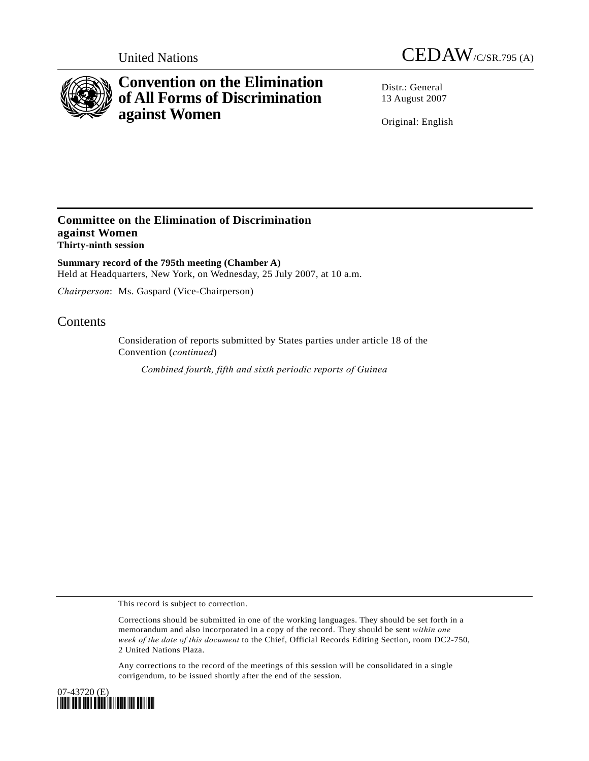



# **Convention on the Elimination of All Forms of Discrimination against Women**

Distr.: General 13 August 2007

Original: English

### **Committee on the Elimination of Discrimination against Women Thirty-ninth session**

**Summary record of the 795th meeting (Chamber A)**  Held at Headquarters, New York, on Wednesday, 25 July 2007, at 10 a.m.

*Chairperson*: Ms. Gaspard (Vice-Chairperson)

## Contents

Consideration of reports submitted by States parties under article 18 of the Convention (*continued*)

*Combined fourth, fifth and sixth periodic reports of Guinea* 

This record is subject to correction.

Corrections should be submitted in one of the working languages. They should be set forth in a memorandum and also incorporated in a copy of the record. They should be sent *within one week of the date of this document* to the Chief, Official Records Editing Section, room DC2-750, 2 United Nations Plaza.

Any corrections to the record of the meetings of this session will be consolidated in a single corrigendum, to be issued shortly after the end of the session.

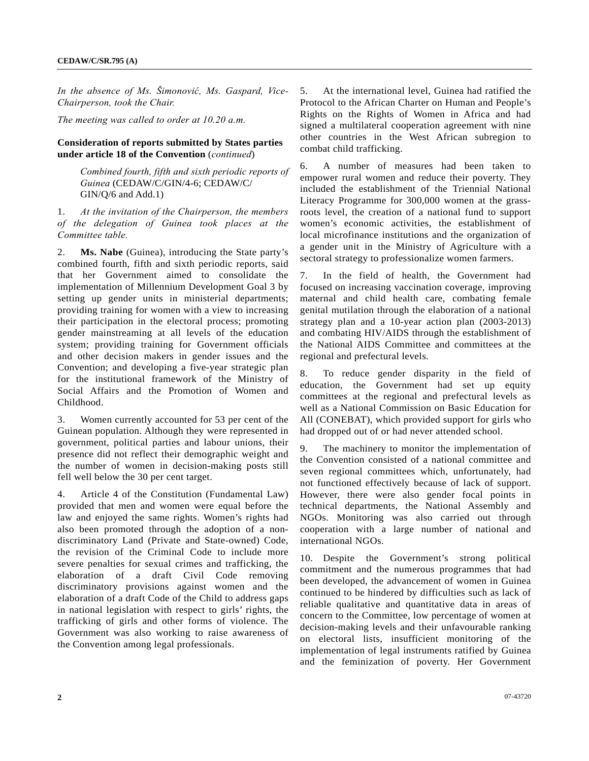*In the absence of Ms. Šimonović, Ms. Gaspard, Vice-Chairperson, took the Chair.* 

*The meeting was called to order at 10.20 a.m.* 

#### **Consideration of reports submitted by States parties under article 18 of the Convention** (*continued*)

 *Combined fourth, fifth and sixth periodic reports of Guinea* (CEDAW/C/GIN/4-6; CEDAW/C/ GIN/Q/6 and Add.1)

1. *At the invitation of the Chairperson, the members of the delegation of Guinea took places at the Committee table.*

2. **Ms. Nabe** (Guinea), introducing the State party's combined fourth, fifth and sixth periodic reports, said that her Government aimed to consolidate the implementation of Millennium Development Goal 3 by setting up gender units in ministerial departments; providing training for women with a view to increasing their participation in the electoral process; promoting gender mainstreaming at all levels of the education system; providing training for Government officials and other decision makers in gender issues and the Convention; and developing a five-year strategic plan for the institutional framework of the Ministry of Social Affairs and the Promotion of Women and Childhood.

3. Women currently accounted for 53 per cent of the Guinean population. Although they were represented in government, political parties and labour unions, their presence did not reflect their demographic weight and the number of women in decision-making posts still fell well below the 30 per cent target.

4. Article 4 of the Constitution (Fundamental Law) provided that men and women were equal before the law and enjoyed the same rights. Women's rights had also been promoted through the adoption of a nondiscriminatory Land (Private and State-owned) Code, the revision of the Criminal Code to include more severe penalties for sexual crimes and trafficking, the elaboration of a draft Civil Code removing discriminatory provisions against women and the elaboration of a draft Code of the Child to address gaps in national legislation with respect to girls' rights, the trafficking of girls and other forms of violence. The Government was also working to raise awareness of the Convention among legal professionals.

5. At the international level, Guinea had ratified the Protocol to the African Charter on Human and People's Rights on the Rights of Women in Africa and had signed a multilateral cooperation agreement with nine other countries in the West African subregion to combat child trafficking.

6. A number of measures had been taken to empower rural women and reduce their poverty. They included the establishment of the Triennial National Literacy Programme for 300,000 women at the grassroots level, the creation of a national fund to support women's economic activities, the establishment of local microfinance institutions and the organization of a gender unit in the Ministry of Agriculture with a sectoral strategy to professionalize women farmers.

7. In the field of health, the Government had focused on increasing vaccination coverage, improving maternal and child health care, combating female genital mutilation through the elaboration of a national strategy plan and a 10-year action plan (2003-2013) and combating HIV/AIDS through the establishment of the National AIDS Committee and committees at the regional and prefectural levels.

8. To reduce gender disparity in the field of education, the Government had set up equity committees at the regional and prefectural levels as well as a National Commission on Basic Education for All (CONEBAT), which provided support for girls who had dropped out of or had never attended school.

9. The machinery to monitor the implementation of the Convention consisted of a national committee and seven regional committees which, unfortunately, had not functioned effectively because of lack of support. However, there were also gender focal points in technical departments, the National Assembly and NGOs. Monitoring was also carried out through cooperation with a large number of national and international NGOs.

10. Despite the Government's strong political commitment and the numerous programmes that had been developed, the advancement of women in Guinea continued to be hindered by difficulties such as lack of reliable qualitative and quantitative data in areas of concern to the Committee, low percentage of women at decision-making levels and their unfavourable ranking on electoral lists, insufficient monitoring of the implementation of legal instruments ratified by Guinea and the feminization of poverty. Her Government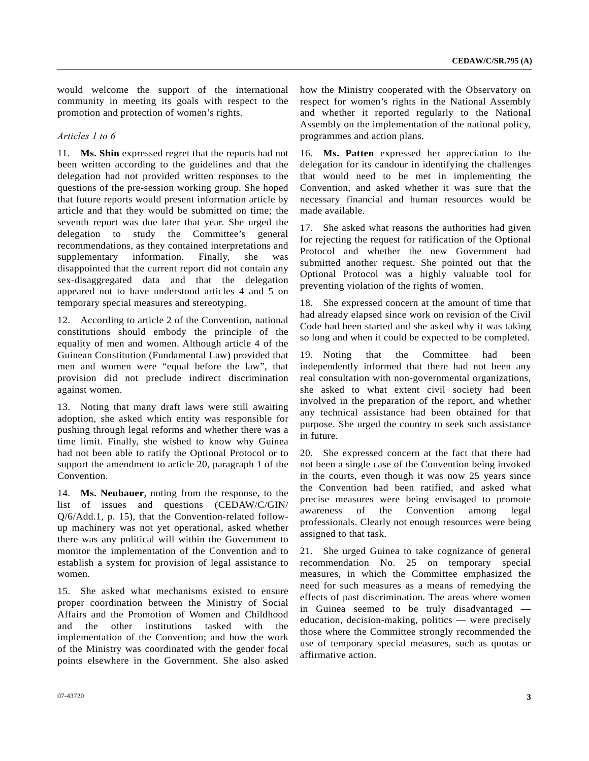would welcome the support of the international community in meeting its goals with respect to the promotion and protection of women's rights.

#### *Articles 1 to 6*

11. **Ms. Shin** expressed regret that the reports had not been written according to the guidelines and that the delegation had not provided written responses to the questions of the pre-session working group. She hoped that future reports would present information article by article and that they would be submitted on time; the seventh report was due later that year. She urged the delegation to study the Committee's general recommendations, as they contained interpretations and supplementary information. Finally, she was disappointed that the current report did not contain any sex-disaggregated data and that the delegation appeared not to have understood articles 4 and 5 on temporary special measures and stereotyping.

12. According to article 2 of the Convention, national constitutions should embody the principle of the equality of men and women. Although article 4 of the Guinean Constitution (Fundamental Law) provided that men and women were "equal before the law", that provision did not preclude indirect discrimination against women.

13. Noting that many draft laws were still awaiting adoption, she asked which entity was responsible for pushing through legal reforms and whether there was a time limit. Finally, she wished to know why Guinea had not been able to ratify the Optional Protocol or to support the amendment to article 20, paragraph 1 of the Convention.

14. **Ms. Neubauer**, noting from the response, to the list of issues and questions (CEDAW/C/GIN/ Q/6/Add.1, p. 15), that the Convention-related followup machinery was not yet operational, asked whether there was any political will within the Government to monitor the implementation of the Convention and to establish a system for provision of legal assistance to women.

15. She asked what mechanisms existed to ensure proper coordination between the Ministry of Social Affairs and the Promotion of Women and Childhood and the other institutions tasked with the implementation of the Convention; and how the work of the Ministry was coordinated with the gender focal points elsewhere in the Government. She also asked how the Ministry cooperated with the Observatory on respect for women's rights in the National Assembly and whether it reported regularly to the National Assembly on the implementation of the national policy, programmes and action plans.

16. **Ms. Patten** expressed her appreciation to the delegation for its candour in identifying the challenges that would need to be met in implementing the Convention, and asked whether it was sure that the necessary financial and human resources would be made available.

17. She asked what reasons the authorities had given for rejecting the request for ratification of the Optional Protocol and whether the new Government had submitted another request. She pointed out that the Optional Protocol was a highly valuable tool for preventing violation of the rights of women.

18. She expressed concern at the amount of time that had already elapsed since work on revision of the Civil Code had been started and she asked why it was taking so long and when it could be expected to be completed.

19. Noting that the Committee had been independently informed that there had not been any real consultation with non-governmental organizations, she asked to what extent civil society had been involved in the preparation of the report, and whether any technical assistance had been obtained for that purpose. She urged the country to seek such assistance in future.

20. She expressed concern at the fact that there had not been a single case of the Convention being invoked in the courts, even though it was now 25 years since the Convention had been ratified, and asked what precise measures were being envisaged to promote awareness of the Convention among legal professionals. Clearly not enough resources were being assigned to that task.

21. She urged Guinea to take cognizance of general recommendation No. 25 on temporary special measures, in which the Committee emphasized the need for such measures as a means of remedying the effects of past discrimination. The areas where women in Guinea seemed to be truly disadvantaged education, decision-making, politics — were precisely those where the Committee strongly recommended the use of temporary special measures, such as quotas or affirmative action.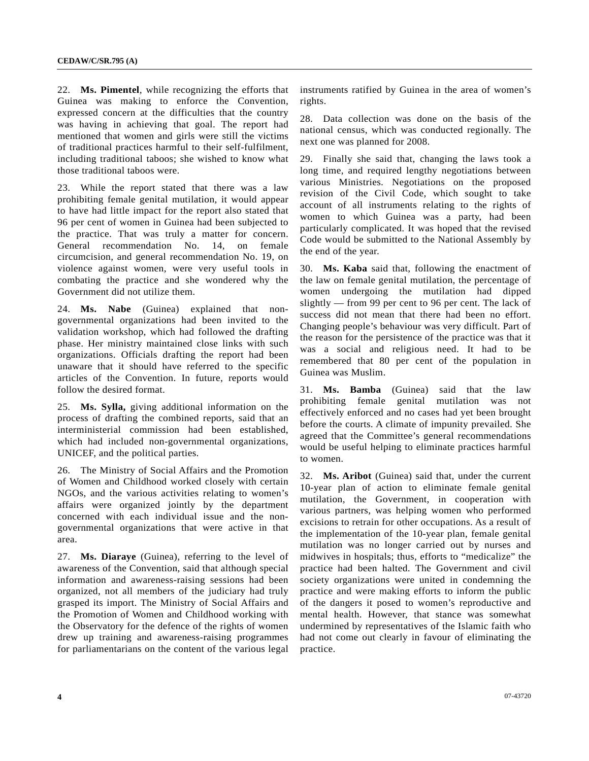22. **Ms. Pimentel**, while recognizing the efforts that Guinea was making to enforce the Convention, expressed concern at the difficulties that the country was having in achieving that goal. The report had mentioned that women and girls were still the victims of traditional practices harmful to their self-fulfilment, including traditional taboos; she wished to know what those traditional taboos were.

23. While the report stated that there was a law prohibiting female genital mutilation, it would appear to have had little impact for the report also stated that 96 per cent of women in Guinea had been subjected to the practice. That was truly a matter for concern. General recommendation No. 14, on female circumcision, and general recommendation No. 19, on violence against women, were very useful tools in combating the practice and she wondered why the Government did not utilize them.

24. **Ms. Nabe** (Guinea) explained that nongovernmental organizations had been invited to the validation workshop, which had followed the drafting phase. Her ministry maintained close links with such organizations. Officials drafting the report had been unaware that it should have referred to the specific articles of the Convention. In future, reports would follow the desired format.

25. **Ms. Sylla,** giving additional information on the process of drafting the combined reports, said that an interministerial commission had been established, which had included non-governmental organizations, UNICEF, and the political parties.

26. The Ministry of Social Affairs and the Promotion of Women and Childhood worked closely with certain NGOs, and the various activities relating to women's affairs were organized jointly by the department concerned with each individual issue and the nongovernmental organizations that were active in that area.

27. **Ms. Diaraye** (Guinea), referring to the level of awareness of the Convention, said that although special information and awareness-raising sessions had been organized, not all members of the judiciary had truly grasped its import. The Ministry of Social Affairs and the Promotion of Women and Childhood working with the Observatory for the defence of the rights of women drew up training and awareness-raising programmes for parliamentarians on the content of the various legal instruments ratified by Guinea in the area of women's rights.

28. Data collection was done on the basis of the national census, which was conducted regionally. The next one was planned for 2008.

29. Finally she said that, changing the laws took a long time, and required lengthy negotiations between various Ministries. Negotiations on the proposed revision of the Civil Code, which sought to take account of all instruments relating to the rights of women to which Guinea was a party, had been particularly complicated. It was hoped that the revised Code would be submitted to the National Assembly by the end of the year.

30. **Ms. Kaba** said that, following the enactment of the law on female genital mutilation, the percentage of women undergoing the mutilation had dipped slightly — from 99 per cent to 96 per cent. The lack of success did not mean that there had been no effort. Changing people's behaviour was very difficult. Part of the reason for the persistence of the practice was that it was a social and religious need. It had to be remembered that 80 per cent of the population in Guinea was Muslim.

31. **Ms. Bamba** (Guinea) said that the law prohibiting female genital mutilation was not effectively enforced and no cases had yet been brought before the courts. A climate of impunity prevailed. She agreed that the Committee's general recommendations would be useful helping to eliminate practices harmful to women.

32. **Ms. Aribot** (Guinea) said that, under the current 10-year plan of action to eliminate female genital mutilation, the Government, in cooperation with various partners, was helping women who performed excisions to retrain for other occupations. As a result of the implementation of the 10-year plan, female genital mutilation was no longer carried out by nurses and midwives in hospitals; thus, efforts to "medicalize" the practice had been halted. The Government and civil society organizations were united in condemning the practice and were making efforts to inform the public of the dangers it posed to women's reproductive and mental health. However, that stance was somewhat undermined by representatives of the Islamic faith who had not come out clearly in favour of eliminating the practice.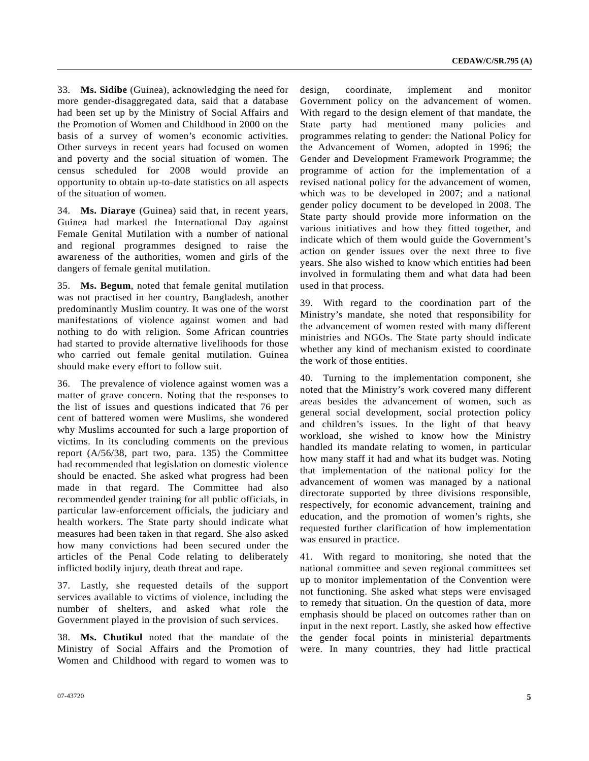33. **Ms. Sidibe** (Guinea), acknowledging the need for more gender-disaggregated data, said that a database had been set up by the Ministry of Social Affairs and the Promotion of Women and Childhood in 2000 on the basis of a survey of women's economic activities. Other surveys in recent years had focused on women and poverty and the social situation of women. The census scheduled for 2008 would provide an opportunity to obtain up-to-date statistics on all aspects of the situation of women.

34. **Ms. Diaraye** (Guinea) said that, in recent years, Guinea had marked the International Day against Female Genital Mutilation with a number of national and regional programmes designed to raise the awareness of the authorities, women and girls of the dangers of female genital mutilation.

35. **Ms. Begum**, noted that female genital mutilation was not practised in her country, Bangladesh, another predominantly Muslim country. It was one of the worst manifestations of violence against women and had nothing to do with religion. Some African countries had started to provide alternative livelihoods for those who carried out female genital mutilation. Guinea should make every effort to follow suit.

36. The prevalence of violence against women was a matter of grave concern. Noting that the responses to the list of issues and questions indicated that 76 per cent of battered women were Muslims, she wondered why Muslims accounted for such a large proportion of victims. In its concluding comments on the previous report (A/56/38, part two, para. 135) the Committee had recommended that legislation on domestic violence should be enacted. She asked what progress had been made in that regard. The Committee had also recommended gender training for all public officials, in particular law-enforcement officials, the judiciary and health workers. The State party should indicate what measures had been taken in that regard. She also asked how many convictions had been secured under the articles of the Penal Code relating to deliberately inflicted bodily injury, death threat and rape.

37. Lastly, she requested details of the support services available to victims of violence, including the number of shelters, and asked what role the Government played in the provision of such services.

38. **Ms. Chutikul** noted that the mandate of the Ministry of Social Affairs and the Promotion of Women and Childhood with regard to women was to design, coordinate, implement and monitor Government policy on the advancement of women. With regard to the design element of that mandate, the State party had mentioned many policies and programmes relating to gender: the National Policy for the Advancement of Women, adopted in 1996; the Gender and Development Framework Programme; the programme of action for the implementation of a revised national policy for the advancement of women, which was to be developed in 2007; and a national gender policy document to be developed in 2008. The State party should provide more information on the various initiatives and how they fitted together, and indicate which of them would guide the Government's action on gender issues over the next three to five years. She also wished to know which entities had been involved in formulating them and what data had been used in that process.

39. With regard to the coordination part of the Ministry's mandate, she noted that responsibility for the advancement of women rested with many different ministries and NGOs. The State party should indicate whether any kind of mechanism existed to coordinate the work of those entities.

40. Turning to the implementation component, she noted that the Ministry's work covered many different areas besides the advancement of women, such as general social development, social protection policy and children's issues. In the light of that heavy workload, she wished to know how the Ministry handled its mandate relating to women, in particular how many staff it had and what its budget was. Noting that implementation of the national policy for the advancement of women was managed by a national directorate supported by three divisions responsible, respectively, for economic advancement, training and education, and the promotion of women's rights, she requested further clarification of how implementation was ensured in practice.

41. With regard to monitoring, she noted that the national committee and seven regional committees set up to monitor implementation of the Convention were not functioning. She asked what steps were envisaged to remedy that situation. On the question of data, more emphasis should be placed on outcomes rather than on input in the next report. Lastly, she asked how effective the gender focal points in ministerial departments were. In many countries, they had little practical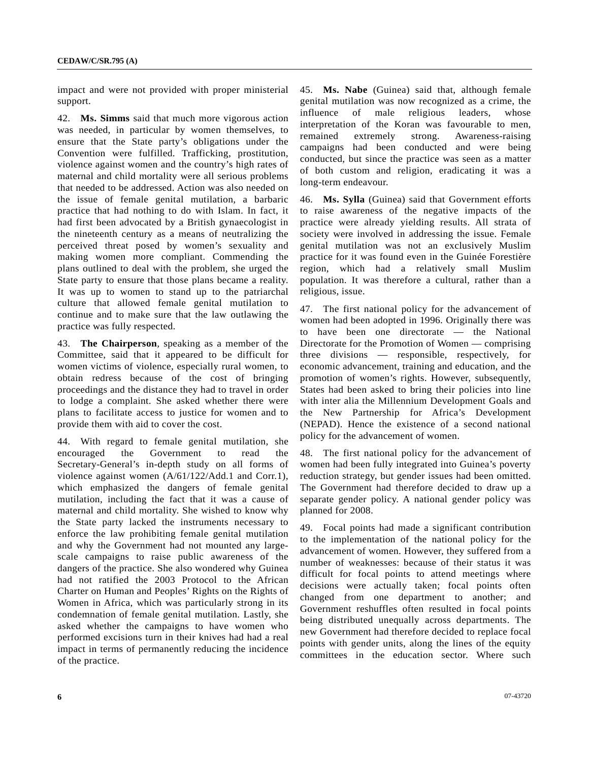impact and were not provided with proper ministerial support.

42. **Ms. Simms** said that much more vigorous action was needed, in particular by women themselves, to ensure that the State party's obligations under the Convention were fulfilled. Trafficking, prostitution, violence against women and the country's high rates of maternal and child mortality were all serious problems that needed to be addressed. Action was also needed on the issue of female genital mutilation, a barbaric practice that had nothing to do with Islam. In fact, it had first been advocated by a British gynaecologist in the nineteenth century as a means of neutralizing the perceived threat posed by women's sexuality and making women more compliant. Commending the plans outlined to deal with the problem, she urged the State party to ensure that those plans became a reality. It was up to women to stand up to the patriarchal culture that allowed female genital mutilation to continue and to make sure that the law outlawing the practice was fully respected.

43. **The Chairperson**, speaking as a member of the Committee, said that it appeared to be difficult for women victims of violence, especially rural women, to obtain redress because of the cost of bringing proceedings and the distance they had to travel in order to lodge a complaint. She asked whether there were plans to facilitate access to justice for women and to provide them with aid to cover the cost.

44. With regard to female genital mutilation, she encouraged the Government to read the Secretary-General's in-depth study on all forms of violence against women (A/61/122/Add.1 and Corr.1), which emphasized the dangers of female genital mutilation, including the fact that it was a cause of maternal and child mortality. She wished to know why the State party lacked the instruments necessary to enforce the law prohibiting female genital mutilation and why the Government had not mounted any largescale campaigns to raise public awareness of the dangers of the practice. She also wondered why Guinea had not ratified the 2003 Protocol to the African Charter on Human and Peoples' Rights on the Rights of Women in Africa, which was particularly strong in its condemnation of female genital mutilation. Lastly, she asked whether the campaigns to have women who performed excisions turn in their knives had had a real impact in terms of permanently reducing the incidence of the practice.

45. **Ms. Nabe** (Guinea) said that, although female genital mutilation was now recognized as a crime, the influence of male religious leaders, whose interpretation of the Koran was favourable to men, remained extremely strong. Awareness-raising campaigns had been conducted and were being conducted, but since the practice was seen as a matter of both custom and religion, eradicating it was a long-term endeavour.

46. **Ms. Sylla** (Guinea) said that Government efforts to raise awareness of the negative impacts of the practice were already yielding results. All strata of society were involved in addressing the issue. Female genital mutilation was not an exclusively Muslim practice for it was found even in the Guinée Forestière region, which had a relatively small Muslim population. It was therefore a cultural, rather than a religious, issue.

47. The first national policy for the advancement of women had been adopted in 1996. Originally there was to have been one directorate — the National Directorate for the Promotion of Women — comprising three divisions — responsible, respectively, for economic advancement, training and education, and the promotion of women's rights. However, subsequently, States had been asked to bring their policies into line with inter alia the Millennium Development Goals and the New Partnership for Africa's Development (NEPAD). Hence the existence of a second national policy for the advancement of women.

48. The first national policy for the advancement of women had been fully integrated into Guinea's poverty reduction strategy, but gender issues had been omitted. The Government had therefore decided to draw up a separate gender policy. A national gender policy was planned for 2008.

49. Focal points had made a significant contribution to the implementation of the national policy for the advancement of women. However, they suffered from a number of weaknesses: because of their status it was difficult for focal points to attend meetings where decisions were actually taken; focal points often changed from one department to another; and Government reshuffles often resulted in focal points being distributed unequally across departments. The new Government had therefore decided to replace focal points with gender units, along the lines of the equity committees in the education sector. Where such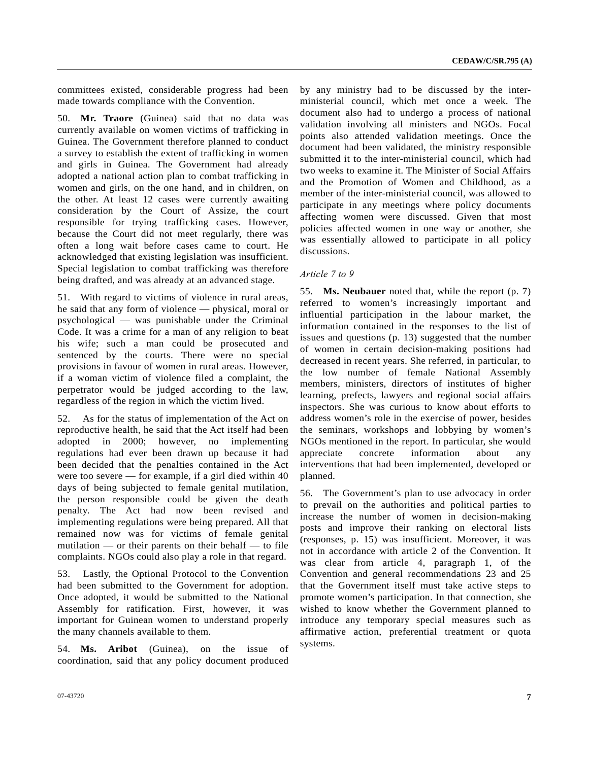committees existed, considerable progress had been made towards compliance with the Convention.

50. **Mr. Traore** (Guinea) said that no data was currently available on women victims of trafficking in Guinea. The Government therefore planned to conduct a survey to establish the extent of trafficking in women and girls in Guinea. The Government had already adopted a national action plan to combat trafficking in women and girls, on the one hand, and in children, on the other. At least 12 cases were currently awaiting consideration by the Court of Assize, the court responsible for trying trafficking cases. However, because the Court did not meet regularly, there was often a long wait before cases came to court. He acknowledged that existing legislation was insufficient. Special legislation to combat trafficking was therefore being drafted, and was already at an advanced stage.

51. With regard to victims of violence in rural areas, he said that any form of violence — physical, moral or psychological — was punishable under the Criminal Code. It was a crime for a man of any religion to beat his wife; such a man could be prosecuted and sentenced by the courts. There were no special provisions in favour of women in rural areas. However, if a woman victim of violence filed a complaint, the perpetrator would be judged according to the law, regardless of the region in which the victim lived.

As for the status of implementation of the Act on reproductive health, he said that the Act itself had been adopted in 2000; however, no implementing regulations had ever been drawn up because it had been decided that the penalties contained in the Act were too severe — for example, if a girl died within 40 days of being subjected to female genital mutilation, the person responsible could be given the death penalty. The Act had now been revised and implementing regulations were being prepared. All that remained now was for victims of female genital mutilation — or their parents on their behalf — to file complaints. NGOs could also play a role in that regard.

53. Lastly, the Optional Protocol to the Convention had been submitted to the Government for adoption. Once adopted, it would be submitted to the National Assembly for ratification. First, however, it was important for Guinean women to understand properly the many channels available to them.

54. **Ms. Aribot** (Guinea), on the issue of coordination, said that any policy document produced by any ministry had to be discussed by the interministerial council, which met once a week. The document also had to undergo a process of national validation involving all ministers and NGOs. Focal points also attended validation meetings. Once the document had been validated, the ministry responsible submitted it to the inter-ministerial council, which had two weeks to examine it. The Minister of Social Affairs and the Promotion of Women and Childhood, as a member of the inter-ministerial council, was allowed to participate in any meetings where policy documents affecting women were discussed. Given that most policies affected women in one way or another, she was essentially allowed to participate in all policy discussions.

#### *Article 7 to 9*

55. **Ms. Neubauer** noted that, while the report (p. 7) referred to women's increasingly important and influential participation in the labour market, the information contained in the responses to the list of issues and questions (p. 13) suggested that the number of women in certain decision-making positions had decreased in recent years. She referred, in particular, to the low number of female National Assembly members, ministers, directors of institutes of higher learning, prefects, lawyers and regional social affairs inspectors. She was curious to know about efforts to address women's role in the exercise of power, besides the seminars, workshops and lobbying by women's NGOs mentioned in the report. In particular, she would appreciate concrete information about any interventions that had been implemented, developed or planned.

56. The Government's plan to use advocacy in order to prevail on the authorities and political parties to increase the number of women in decision-making posts and improve their ranking on electoral lists (responses, p. 15) was insufficient. Moreover, it was not in accordance with article 2 of the Convention. It was clear from article 4, paragraph 1, of the Convention and general recommendations 23 and 25 that the Government itself must take active steps to promote women's participation. In that connection, she wished to know whether the Government planned to introduce any temporary special measures such as affirmative action, preferential treatment or quota systems.